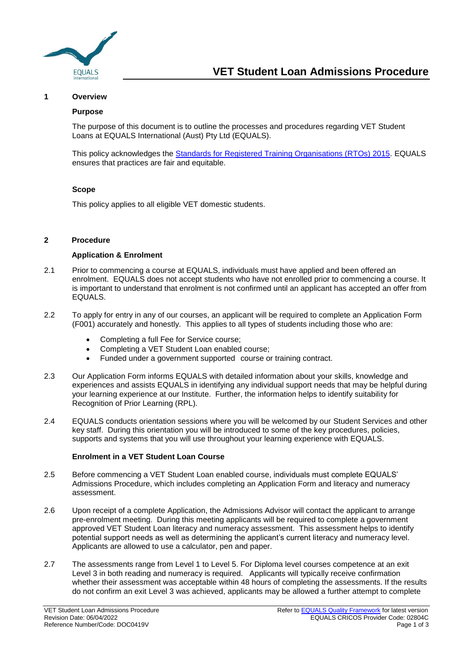

#### **1 Overview**

#### **Purpose**

The purpose of this document is to outline the processes and procedures regarding VET Student Loans at EQUALS International (Aust) Pty Ltd (EQUALS).

This policy acknowledges the [Standards for Registered Training Organisations \(RTOs\) 2015.](https://www.legislation.gov.au/Series/F2014L01377) EQUALS ensures that practices are fair and equitable.

#### **Scope**

This policy applies to all eligible VET domestic students.

#### **2 Procedure**

#### **Application & Enrolment**

- 2.1 Prior to commencing a course at EQUALS, individuals must have applied and been offered an enrolment. EQUALS does not accept students who have not enrolled prior to commencing a course. It is important to understand that enrolment is not confirmed until an applicant has accepted an offer from EQUALS.
- 2.2 To apply for entry in any of our courses, an applicant will be required to complete an Application Form (F001) accurately and honestly. This applies to all types of students including those who are:
	- Completing a full Fee for Service course;
	- Completing a VET Student Loan enabled course;
	- Funded under a government supported course or training contract.
- 2.3 Our Application Form informs EQUALS with detailed information about your skills, knowledge and experiences and assists EQUALS in identifying any individual support needs that may be helpful during your learning experience at our Institute. Further, the information helps to identify suitability for Recognition of Prior Learning (RPL).
- 2.4 EQUALS conducts orientation sessions where you will be welcomed by our Student Services and other key staff. During this orientation you will be introduced to some of the key procedures, policies, supports and systems that you will use throughout your learning experience with EQUALS.

## **Enrolment in a VET Student Loan Course**

- 2.5 Before commencing a VET Student Loan enabled course, individuals must complete EQUALS' Admissions Procedure, which includes completing an Application Form and literacy and numeracy assessment.
- 2.6 Upon receipt of a complete Application, the Admissions Advisor will contact the applicant to arrange pre-enrolment meeting. During this meeting applicants will be required to complete a government approved VET Student Loan literacy and numeracy assessment. This assessment helps to identify potential support needs as well as determining the applicant's current literacy and numeracy level. Applicants are allowed to use a calculator, pen and paper.
- 2.7 The assessments range from Level 1 to Level 5. For Diploma level courses competence at an exit Level 3 in both reading and numeracy is required. Applicants will typically receive confirmation whether their assessment was acceptable within 48 hours of completing the assessments. If the results do not confirm an exit Level 3 was achieved, applicants may be allowed a further attempt to complete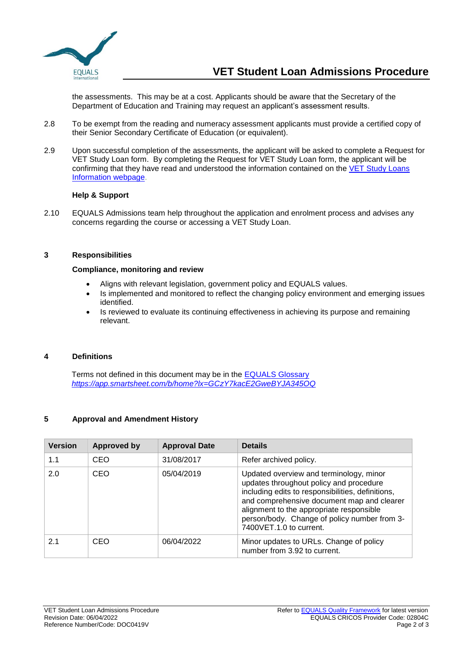

the assessments. This may be at a cost. Applicants should be aware that the Secretary of the Department of Education and Training may request an applicant's assessment results.

- 2.8 To be exempt from the reading and numeracy assessment applicants must provide a certified copy of their Senior Secondary Certificate of Education (or equivalent).
- 2.9 Upon successful completion of the assessments, the applicant will be asked to complete a Request for VET Study Loan form. By completing the Request for VET Study Loan form, the applicant will be confirming that they have read and understood the information contained on the VET Study Loans [Information webpage.](https://www.dese.gov.au/vet-student-loans/vet-information-students)

## **Help & Support**

2.10 EQUALS Admissions team help throughout the application and enrolment process and advises any concerns regarding the course or accessing a VET Study Loan.

### **3 Responsibilities**

## **Compliance, monitoring and review**

- Aligns with relevant legislation, government policy and EQUALS values.
- Is implemented and monitored to reflect the changing policy environment and emerging issues identified.
- Is reviewed to evaluate its continuing effectiveness in achieving its purpose and remaining relevant.

# **4 Definitions**

Terms not defined in this document may be in the [EQUALS Glossary](https://app.smartsheet.com/b/home?lx=GCzY7kacE2GweBYJA345OQ) *<https://app.smartsheet.com/b/home?lx=GCzY7kacE2GweBYJA345OQ>*

# **5 Approval and Amendment History**

| <b>Version</b> | <b>Approved by</b> | <b>Approval Date</b> | <b>Details</b>                                                                                                                                                                                                                                                                                               |  |
|----------------|--------------------|----------------------|--------------------------------------------------------------------------------------------------------------------------------------------------------------------------------------------------------------------------------------------------------------------------------------------------------------|--|
| 1.1            | CEO                | 31/08/2017           | Refer archived policy.                                                                                                                                                                                                                                                                                       |  |
| 2.0            | CEO                | 05/04/2019           | Updated overview and terminology, minor<br>updates throughout policy and procedure<br>including edits to responsibilities, definitions,<br>and comprehensive document map and clearer<br>alignment to the appropriate responsible<br>person/body. Change of policy number from 3-<br>7400VET.1.0 to current. |  |
| 2.1            | CEO                | 06/04/2022           | Minor updates to URLs. Change of policy<br>number from 3.92 to current.                                                                                                                                                                                                                                      |  |